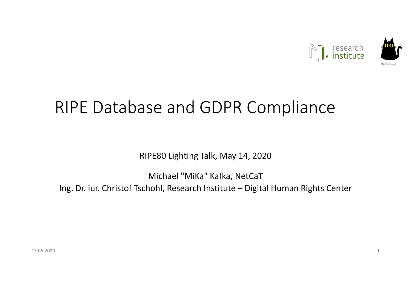

#### RIPE Database and GDPR Compliance

RIPE80 Lighting Talk, May 14, 2020

Michael "MiKa" Kafka, NetCaTIng. Dr. iur. Christof Tschohl, Research Institute – Digital Human Rights Center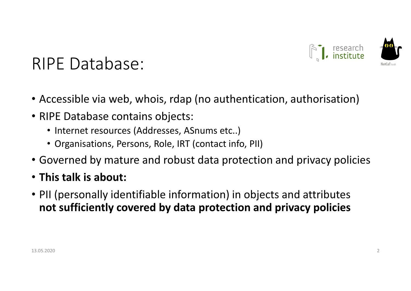

#### RIPE Database:

- Accessible via web, whois, rdap (no authentication, authorisation)
- RIPE Database contains objects:
	- Internet resources (Addresses, ASnums etc..)
	- Organisations, Persons, Role, IRT (contact info, PII)
- Governed by mature and robust data protection and privacy policies
- This talk is about:
- PII (personally identifiable information) in objects and attributes not sufficiently covered by data protection and privacy policies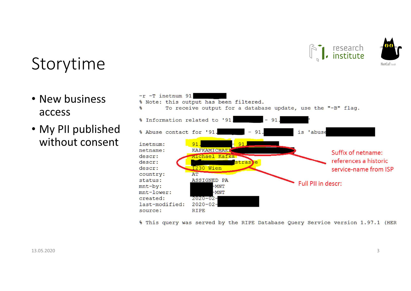



#### Storytime

- New business access
- My PII published without consent



% This query was served by the RIPE Database Query Service version 1.97.1 (HER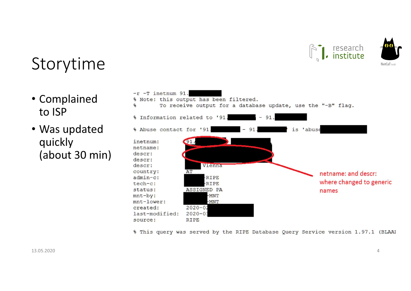



#### Storytime

- Complained to ISP
- Was updated quickly(about 30 min)



% This query was served by the RIPE Database Query Service version 1.97.1 (BLAAH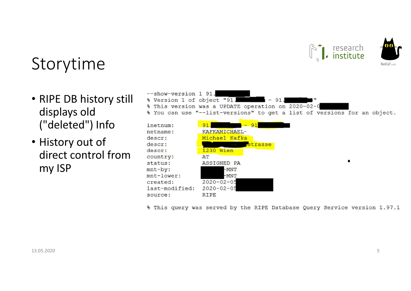

# NetCriT cm

#### Storytime

- RIPE DB history still displays old ("deleted") Info
- History out of direct control from my ISP
- --show-version 1 91. % Version 1 of object "91.  $-91$ % This version was a UPDATE operation on 2020-02-0 % You can use "--list-versions" to get a list of versions for an object.



% This query was served by the RIPE Database Query Service version 1.97.1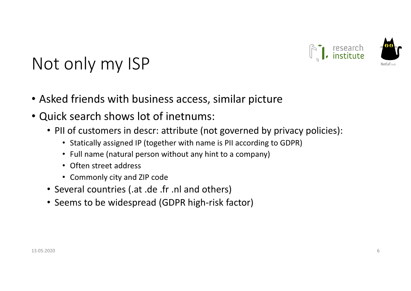

# Not only my ISP

- Asked friends with business access, similar picture
- Quick search shows lot of inetnums:
	- PII of customers in descr: attribute (not governed by privacy policies):
		- Statically assigned IP (together with name is PII according to GDPR)
		- Full name (natural person without any hint to a company)
		- Often street address
		- Commonly city and ZIP code
	- Several countries (.at .de .fr .nl and others)
	- Seems to be widespread (GDPR high-risk factor)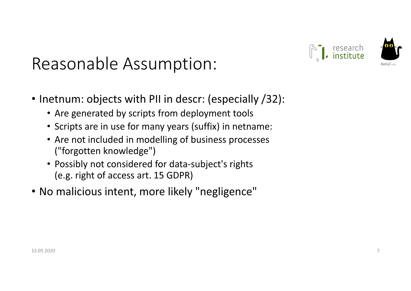### Reasonable Assumption:

- Inetnum: objects with PII in descr: (especially /32):
	- Are generated by scripts from deployment tools
	- Scripts are in use for many years (suffix) in netname:
	- Are not included in modelling of business processes("forgotten knowledge")
	- Possibly not considered for data-subject's rights (e.g. right of access art. 15 GDPR)
- No malicious intent, more likely "negligence"

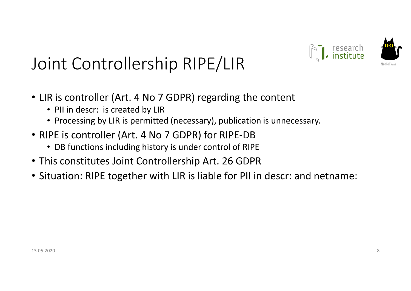

# Joint Controllership RIPE/LIR

- LIR is controller (Art. 4 No 7 GDPR) regarding the content
	- PII in descr: is created by LIR
	- Processing by LIR is permitted (necessary), publication is unnecessary.
- RIPE is controller (Art. 4 No 7 GDPR) for RIPE-DB
	- DB functions including history is under control of RIPE
- This constitutes Joint Controllership Art. 26 GDPR
- Situation: RIPE together with LIR is liable for PII in descr: and netname: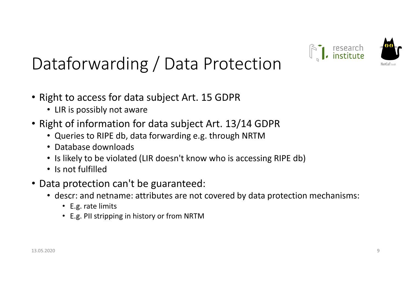

# Dataforwarding / Data Protection

- Right to access for data subject Art. 15 GDPR
	- LIR is possibly not aware
- Right of information for data subject Art. 13/14 GDPR
	- Queries to RIPE db, data forwarding e.g. through NRTM
	- Database downloads
	- Is likely to be violated (LIR doesn't know who is accessing RIPE db)
	- Is not fulfilled
- Data protection can't be guaranteed:
	- descr: and netname: attributes are not covered by data protection mechanisms:
		- E.g. rate limits
		- E.g. PII stripping in history or from NRTM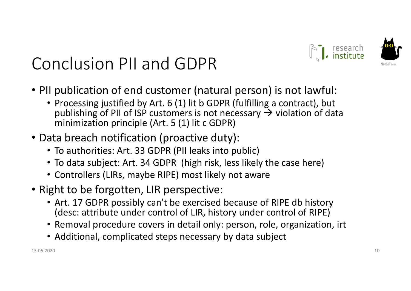

# Conclusion PII and GDPR

- PII publication of end customer (natural person) is not lawful:
	- Processing justified by Art. 6 (1) lit b GDPR (fulfilling a contract), but publishing of PII of ISP customers is not necessary  $\rightarrow$  violation of data<br>minimization principle (Art. 5 (1) lit c GDPR) minimization principle (Art. 5 (1) lit c GDPR)
- Data breach notification (proactive duty):
	- To authorities: Art. 33 GDPR (PII leaks into public)
	- To data subject: Art. 34 GDPR (high risk, less likely the case here)
	- Controllers (LIRs, maybe RIPE) most likely not aware
- Right to be forgotten, LIR perspective:
	- Art. 17 GDPR possibly can't be exercised because of RIPE db history (desc: attribute under control of LIR, history under control of RIPE)
	- Removal procedure covers in detail only: person, role, organization, irt
	- Additional, complicated steps necessary by data subject